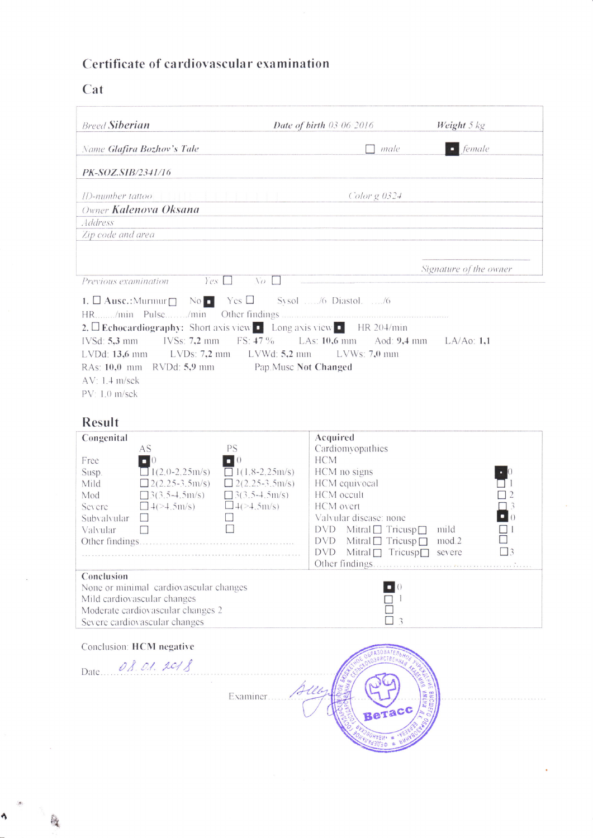## Certificate of cardiovascular examination

## Cat

Ą

| <b>Breed Siberian</b>                                                                                                                                                                                                                                                                                                                                                                                                            | Date of birth 03 06 2016                                                                                                         | Weight 5 kg               |  |  |
|----------------------------------------------------------------------------------------------------------------------------------------------------------------------------------------------------------------------------------------------------------------------------------------------------------------------------------------------------------------------------------------------------------------------------------|----------------------------------------------------------------------------------------------------------------------------------|---------------------------|--|--|
| Name Glafira Bozhov's Tale                                                                                                                                                                                                                                                                                                                                                                                                       | male                                                                                                                             | $\blacksquare$ female     |  |  |
| PK-SOZ.SIB/2341/16                                                                                                                                                                                                                                                                                                                                                                                                               |                                                                                                                                  |                           |  |  |
| ID-number tattoo<br>Owner Kalenova Oksana                                                                                                                                                                                                                                                                                                                                                                                        | Color $g$ 0324                                                                                                                   |                           |  |  |
| Address                                                                                                                                                                                                                                                                                                                                                                                                                          |                                                                                                                                  |                           |  |  |
| Zip code and area                                                                                                                                                                                                                                                                                                                                                                                                                |                                                                                                                                  |                           |  |  |
|                                                                                                                                                                                                                                                                                                                                                                                                                                  |                                                                                                                                  | Signature of the owner    |  |  |
| $Yes \Box$<br>$\sqrt{a}$<br>Previous examination                                                                                                                                                                                                                                                                                                                                                                                 |                                                                                                                                  |                           |  |  |
| 1. $\Box$ Ausc.: Murmur $\Box$ No Yes $\Box$ Sysol  /6 Diastol.  /6<br>2. Echocardiography: Short axis view $\bullet$ Long axis view $\bullet$ HR 204/min<br>$FS: 47\%$<br>LAs: $10,6$ mm Aod: $9,4$ mm LA/Ao: 1,1<br>IVSd: 5,3 mm<br>$IVSS: 7,2 \text{ mm}$<br>LVDd: 13,6 mm LVDs: 7,2 mm LVWd: 5,2 mm<br>$LVWs: 7,0$ mm<br>RAs: 10,0 mm RVDd: 5,9 mm Pap.Musc Not Changed<br>$AV: 1.4$ m/sek<br>PV: 1.0 m/sek<br><b>Result</b> |                                                                                                                                  |                           |  |  |
| Congenital<br>PS<br>AS<br>$\blacksquare$ 0<br>Free<br>$\Box$ 0<br>$\frac{1}{2}$ 1(2.0-2.25m/s)<br>$\Box$ 1(1.8-2,25m/s)<br>Susp.<br>$2(2.25-3.5m/s)$<br>$2(2.25-3.5m/s)$<br>Mild<br>$\Box$ 3(3.5-4.5m/s)<br>$\Box$ 3(3.5-4.5m/s)<br>Mod<br>$\Box$ 4( $>$ 4.5m/s)<br>$\Box$ 4(>4,5m/s)<br>Severe<br>Subvalvular<br>$\mathcal{L}$                                                                                                  | Acquired<br>Cardiomyopathies<br><b>HCM</b><br>HCM no signs<br>HCM equivocal<br>HCM occult<br>HCM overt<br>Valvular disease: none | $\Box$ 0                  |  |  |
| Valvular<br>$\Box$                                                                                                                                                                                                                                                                                                                                                                                                               | $DVD$ Mitral $\Box$ Tricusp $\Box$<br><b>DVD</b><br>Mitral $\Box$ Tricusp $\Box$<br>DVD Mitral□ Tricusp□ severe                  | mild<br>mod.2<br>$\Box$ 3 |  |  |
| Conclusion<br>None or minimal cardiovascular changes<br>Mild cardiovascular changes<br>Moderate cardiovascular changes 2<br>Severe cardiovascular changes                                                                                                                                                                                                                                                                        | 3                                                                                                                                |                           |  |  |
| Conclusion: HCM negative<br>Date 08.01.2018<br>Aller<br>Examiner<br>Beracc                                                                                                                                                                                                                                                                                                                                                       |                                                                                                                                  |                           |  |  |